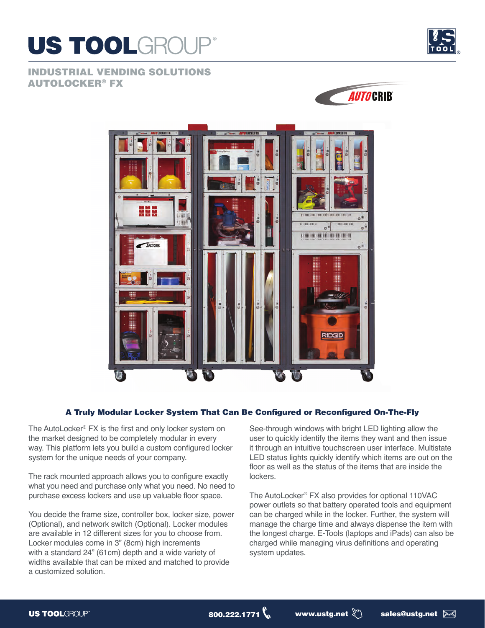

INDUSTRIAL VENDING SOLUTIONS AUTOLOCKER® FX





## A Truly Modular Locker System That Can Be Configured or Reconfigured On-The-Fly

The AutoLocker® FX is the first and only locker system on the market designed to be completely modular in every way. This platform lets you build a custom configured locker system for the unique needs of your company.

The rack mounted approach allows you to configure exactly what you need and purchase only what you need. No need to purchase excess lockers and use up valuable floor space.

You decide the frame size, controller box, locker size, power (Optional), and network switch (Optional). Locker modules are available in 12 different sizes for you to choose from. Locker modules come in 3" (8cm) high increments with a standard 24" (61cm) depth and a wide variety of widths available that can be mixed and matched to provide a customized solution.

See-through windows with bright LED lighting allow the user to quickly identify the items they want and then issue it through an intuitive touchscreen user interface. Multistate LED status lights quickly identify which items are out on the floor as well as the status of the items that are inside the lockers.

The AutoLocker® FX also provides for optional 110VAC power outlets so that battery operated tools and equipment can be charged while in the locker. Further, the system will manage the charge time and always dispense the item with the longest charge. E-Tools (laptops and iPads) can also be charged while managing virus definitions and operating system updates.



800.222.1771 www.ustg.net  $\sqrt[m]{s}$  sales@ustg.net  $\gg$